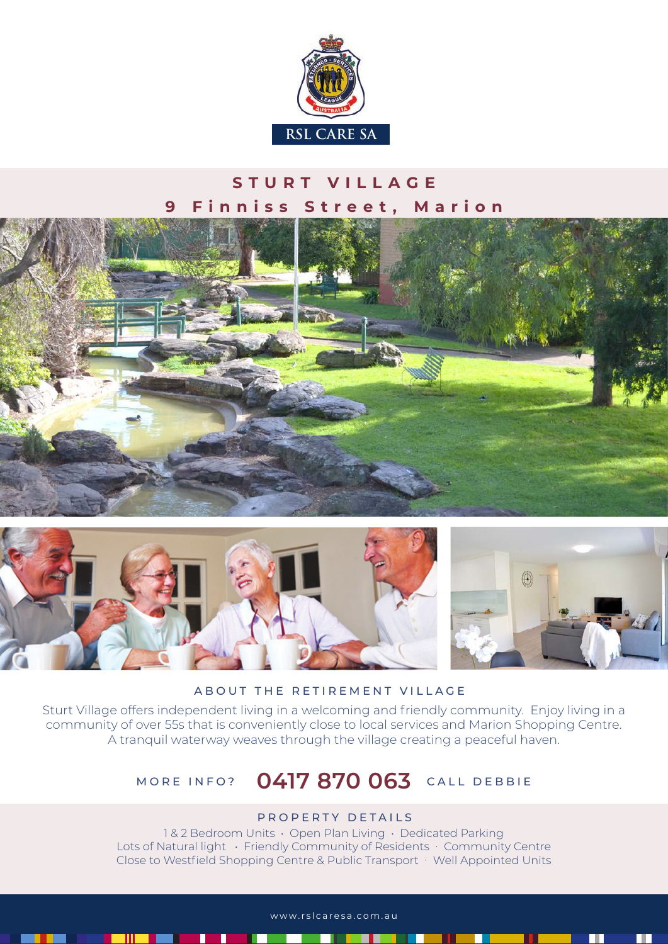

## **STURT VILLAGE 9 Finniss Street, Marion**





#### ABOUT THE RETIREMENT VILLAGE

Sturt Village offers independent living in a welcoming and friendly community. Enjoy living in a community of over 55s that is conveniently close to local services and Marion Shopping Centre. A tranquil waterway weaves through the village creating a peaceful haven.

# MORE INFO? **0417 870 063** CALL DEBBIE

### PROPERTY DETAILS

1 & 2 Bedroom Units • Open Plan Living • Dedicated Parking Lots of Natural light • Friendly Community of Residents • Community Centre Close to Westfield Shopping Centre & Public Transport · Well Appointed Units

www.rslcaresa.com.au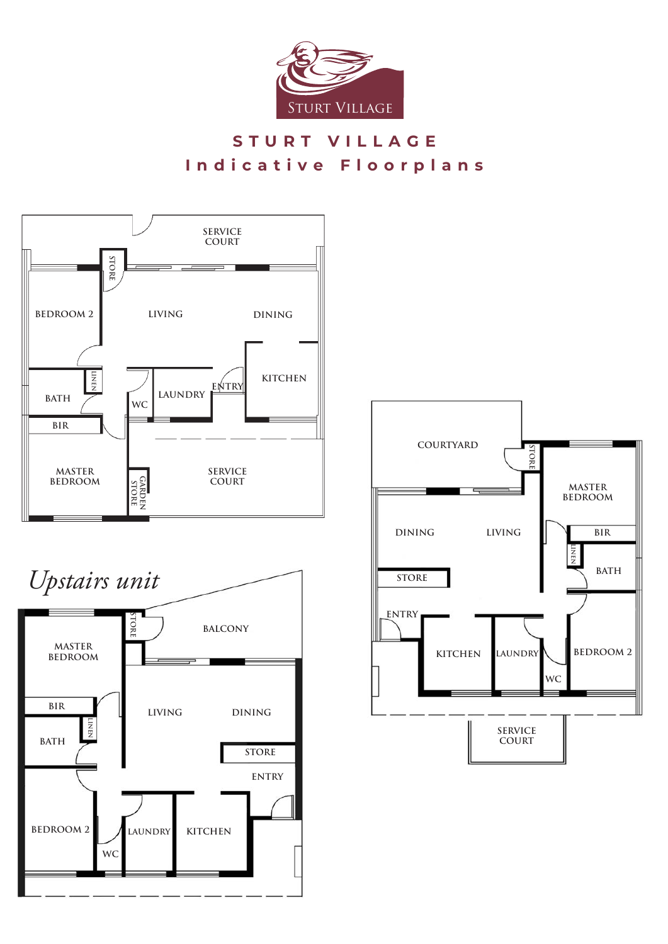

## **STURT VILLAGE Indicative Floorplans**